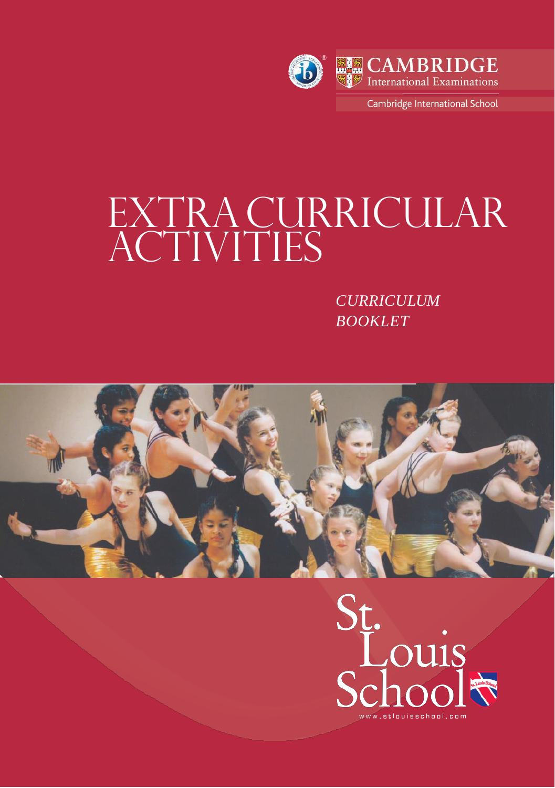

# $\overline{\mathbf{A}}$ EXTRACURRICULAR ACTIVITIES

*CURRICULUM BOOKLET*



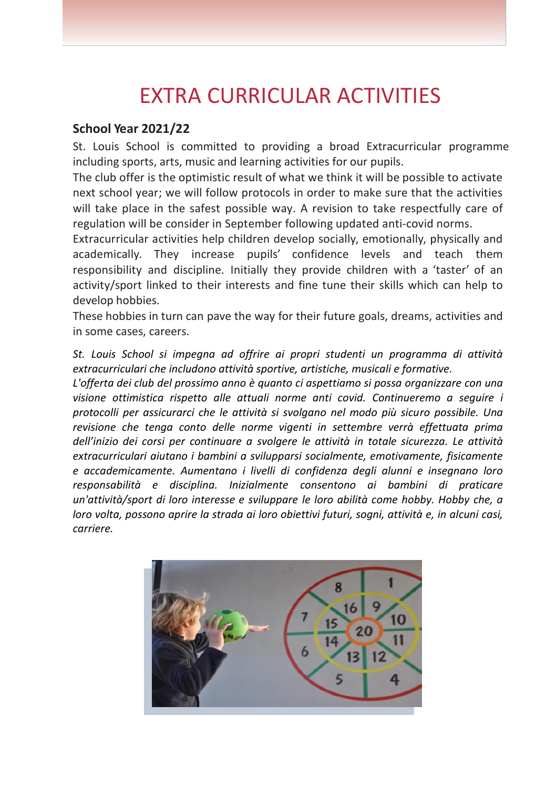## EXTRA CURRICULAR ACTIVITIES

#### **School Year 2021/22**

St. Louis School is committed to providing a broad Extracurricular programme including sports, arts, music and learning activities for our pupils.

The club offer is the optimistic result of what we think it will be possible to activate next school year; we will follow protocols in order to make sure that the activities will take place in the safest possible way. A revision to take respectfully care of regulation will be consider in September following updated anti-covid norms.

Extracurricular activities help children develop socially, emotionally, physically and academically. They increase pupils' confidence levels and teach them responsibility and discipline. Initially they provide children with a 'taster' of an activity/sport linked to their interests and fine tune their skills which can help to develop hobbies.

These hobbies in turn can pave the way for their future goals, dreams, activities and in some cases, careers.

*St. Louis School si impegna ad offrire ai propri studenti un programma di attività extracurriculari che includono attività sportive, artistiche, musicali e formative.*

*L'offerta dei club del prossimo anno è quanto ci aspettiamo si possa organizzare con una visione ottimistica rispetto alle attuali norme anti covid. Continueremo a seguire i protocolli per assicurarci che le attività si svolgano nel modo più sicuro possibile. Una revisione che tenga conto delle norme vigenti in settembre verrà effettuata prima dell'inizio dei corsi per continuare a svolgere le attività in totale sicurezza. Le attività extracurriculari aiutano i bambini a svilupparsi socialmente, emotivamente, fisicamente e accademicamente. Aumentano i livelli di confidenza degli alunni e insegnano loro responsabilità e disciplina. Inizialmente consentono ai bambini di praticare un'attività/sport di loro interesse e sviluppare le loro abilità come hobby. Hobby che, a loro volta, possono aprire la strada ai loro obiettivi futuri, sogni, attività e, in alcuni casi, carriere.*

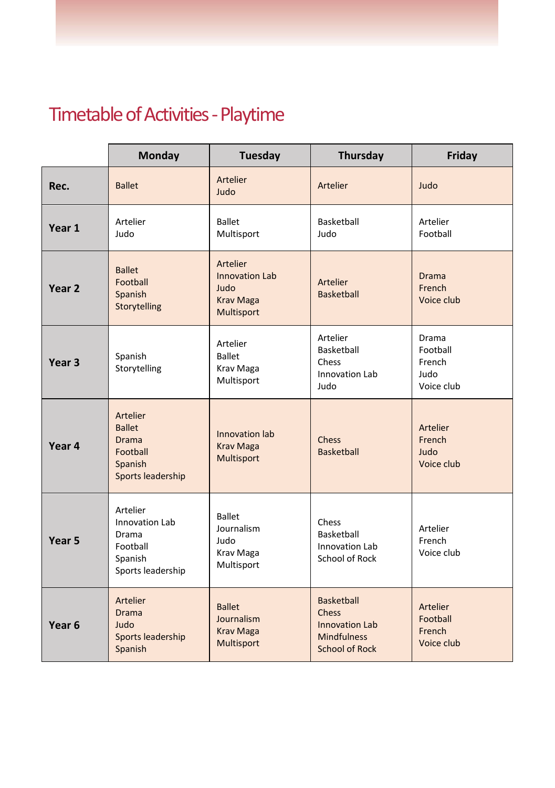# Timetable of Activities-Playtime

|                   | Monday                                                                                 | Tuesday                                                                     | Thursday                                                                                           | Friday                                            |
|-------------------|----------------------------------------------------------------------------------------|-----------------------------------------------------------------------------|----------------------------------------------------------------------------------------------------|---------------------------------------------------|
| Rec.              | <b>Ballet</b>                                                                          | <b>Artelier</b><br>Judo                                                     | Artelier                                                                                           | Judo                                              |
| Year 1            | Artelier<br>Judo                                                                       | <b>Ballet</b><br>Multisport                                                 | <b>Basketball</b><br>Judo                                                                          | Artelier<br>Football                              |
| Year <sub>2</sub> | <b>Ballet</b><br>Football<br>Spanish<br>Storytelling                                   | Artelier<br><b>Innovation Lab</b><br>Judo<br><b>Krav Maga</b><br>Multisport | Artelier<br><b>Basketball</b>                                                                      | <b>Drama</b><br>French<br>Voice club              |
| Year 3            | Spanish<br>Storytelling                                                                | Artelier<br><b>Ballet</b><br>Krav Maga<br>Multisport                        | Artelier<br>Basketball<br>Chess<br><b>Innovation Lab</b><br>Judo                                   | Drama<br>Football<br>French<br>Judo<br>Voice club |
| Year 4            | Artelier<br><b>Ballet</b><br><b>Drama</b><br>Football<br>Spanish<br>Sports leadership  | Innovation lab<br><b>Krav Maga</b><br>Multisport                            | Chess<br><b>Basketball</b>                                                                         | Artelier<br>French<br>Judo<br>Voice club          |
| Year 5            | Artelier<br><b>Innovation Lab</b><br>Drama<br>Football<br>Spanish<br>Sports leadership | <b>Ballet</b><br>Journalism<br>Judo<br>Krav Maga<br>Multisport              | Chess<br>Basketball<br><b>Innovation Lab</b><br>School of Rock                                     | Artelier<br>French<br>Voice club                  |
| Year <sub>6</sub> | Artelier<br><b>Drama</b><br>Judo<br>Sports leadership<br>Spanish                       | <b>Ballet</b><br>Journalism<br><b>Krav Maga</b><br>Multisport               | <b>Basketball</b><br>Chess<br><b>Innovation Lab</b><br><b>Mindfulness</b><br><b>School of Rock</b> | Artelier<br>Football<br>French<br>Voice club      |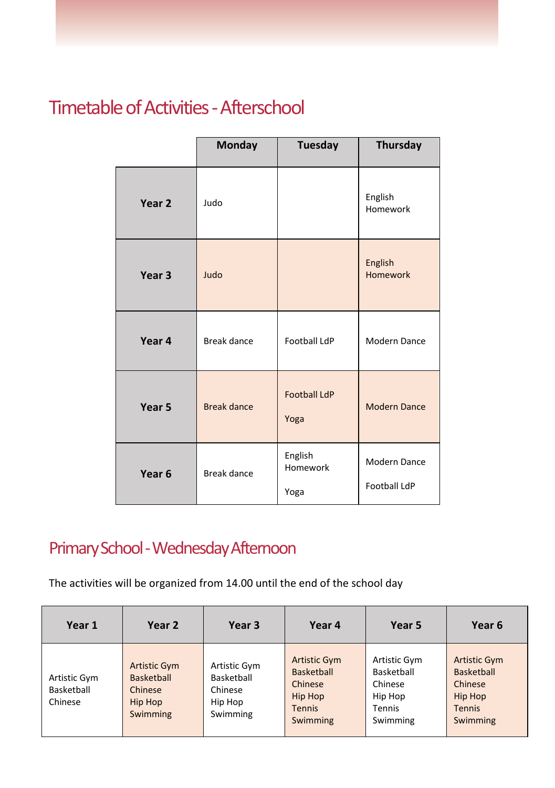#### **Timetable of Activities - Afterschool**

|                   | <b>Monday</b>      | <b>Tuesday</b>              | <b>Thursday</b>                            |
|-------------------|--------------------|-----------------------------|--------------------------------------------|
| Year <sub>2</sub> | Judo               |                             | English<br>Homework                        |
| Year <sub>3</sub> | Judo               |                             | English<br>Homework                        |
| Year 4            | Break dance        | <b>Football LdP</b>         | Modern Dance                               |
| Year 5            | <b>Break dance</b> | <b>Football LdP</b><br>Yoga | <b>Modern Dance</b>                        |
| Year <sub>6</sub> | Break dance        | English<br>Homework<br>Yoga | <b>Modern Dance</b><br><b>Football LdP</b> |

#### Primary School -Wednesday Afternoon

The activities will be organized from 14.00 until the end of the school day

| Year 1                                | Year 2                                                                     | Year 3                                                       | Year 4                                                                                             | Year 5                                                                 | Year 6                                                                                      |
|---------------------------------------|----------------------------------------------------------------------------|--------------------------------------------------------------|----------------------------------------------------------------------------------------------------|------------------------------------------------------------------------|---------------------------------------------------------------------------------------------|
| Artistic Gym<br>Basketball<br>Chinese | <b>Artistic Gym</b><br><b>Basketball</b><br>Chinese<br>Hip Hop<br>Swimming | Artistic Gym<br>Basketball<br>Chinese<br>Hip Hop<br>Swimming | <b>Artistic Gym</b><br><b>Basketball</b><br>Chinese<br><b>Hip Hop</b><br><b>Tennis</b><br>Swimming | Artistic Gym<br>Basketball<br>Chinese<br>Hip Hop<br>Tennis<br>Swimming | <b>Artistic Gym</b><br><b>Basketball</b><br>Chinese<br>Hip Hop<br><b>Tennis</b><br>Swimming |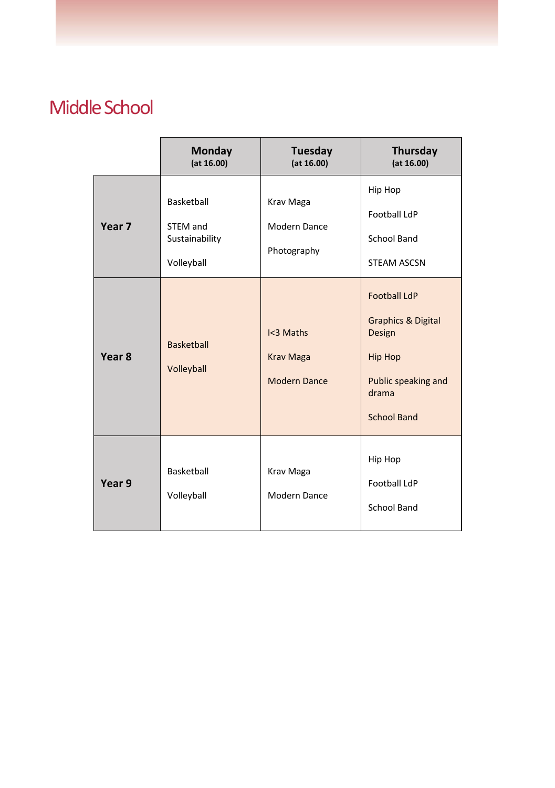#### Middle School

|                   | Monday<br>(at 16.00)                                   | Tuesday<br>(at 16.00)                         | <b>Thursday</b><br>(at 16.00)                                                                                                          |
|-------------------|--------------------------------------------------------|-----------------------------------------------|----------------------------------------------------------------------------------------------------------------------------------------|
| Year <sub>7</sub> | Basketball<br>STEM and<br>Sustainability<br>Volleyball | Krav Maga<br>Modern Dance<br>Photography      | Hip Hop<br>Football LdP<br><b>School Band</b><br><b>STEAM ASCSN</b>                                                                    |
| Year <sub>8</sub> | <b>Basketball</b><br>Volleyball                        | I<3 Maths<br><b>Krav Maga</b><br>Modern Dance | <b>Football LdP</b><br><b>Graphics &amp; Digital</b><br>Design<br><b>Hip Hop</b><br>Public speaking and<br>drama<br><b>School Band</b> |
| Year 9            | Basketball<br>Volleyball                               | Krav Maga<br>Modern Dance                     | Hip Hop<br><b>Football LdP</b><br>School Band                                                                                          |